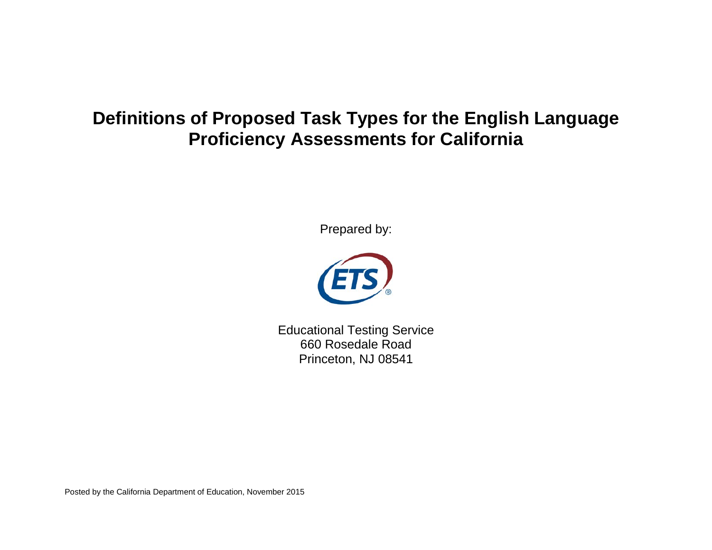# **Definitions of Proposed Task Types for the English Language Proficiency Assessments for California**

Prepared by:



Educational Testing Service 660 Rosedale Road Princeton, NJ 08541

Posted by the California Department of Education, November 2015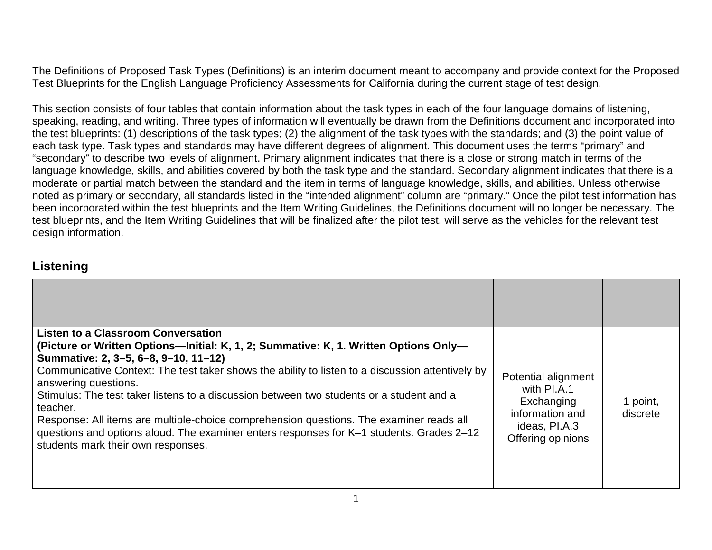The Definitions of Proposed Task Types (Definitions) is an interim document meant to accompany and provide context for the Proposed Test Blueprints for the English Language Proficiency Assessments for California during the current stage of test design.

This section consists of four tables that contain information about the task types in each of the four language domains of listening, speaking, reading, and writing. Three types of information will eventually be drawn from the Definitions document and incorporated into the test blueprints: (1) descriptions of the task types; (2) the alignment of the task types with the standards; and (3) the point value of each task type. Task types and standards may have different degrees of alignment. This document uses the terms "primary" and "secondary" to describe two levels of alignment. Primary alignment indicates that there is a close or strong match in terms of the language knowledge, skills, and abilities covered by both the task type and the standard. Secondary alignment indicates that there is a moderate or partial match between the standard and the item in terms of language knowledge, skills, and abilities. Unless otherwise noted as primary or secondary, all standards listed in the "intended alignment" column are "primary." Once the pilot test information has been incorporated within the test blueprints and the Item Writing Guidelines, the Definitions document will no longer be necessary. The test blueprints, and the Item Writing Guidelines that will be finalized after the pilot test, will serve as the vehicles for the relevant test design information.

#### **Listening**

| Listen to a Classroom Conversation<br>(Picture or Written Options-Initial: K, 1, 2; Summative: K, 1. Written Options Only-<br>Summative: 2, 3-5, 6-8, 9-10, 11-12)<br>Communicative Context: The test taker shows the ability to listen to a discussion attentively by<br>answering questions.<br>Stimulus: The test taker listens to a discussion between two students or a student and a<br>teacher.<br>Response: All items are multiple-choice comprehension questions. The examiner reads all<br>questions and options aloud. The examiner enters responses for K-1 students. Grades 2-12<br>students mark their own responses. | Potential alignment<br>with PI.A.1<br>Exchanging<br>information and<br>ideas, PI.A.3<br>Offering opinions | 1 point,<br>discrete |
|-------------------------------------------------------------------------------------------------------------------------------------------------------------------------------------------------------------------------------------------------------------------------------------------------------------------------------------------------------------------------------------------------------------------------------------------------------------------------------------------------------------------------------------------------------------------------------------------------------------------------------------|-----------------------------------------------------------------------------------------------------------|----------------------|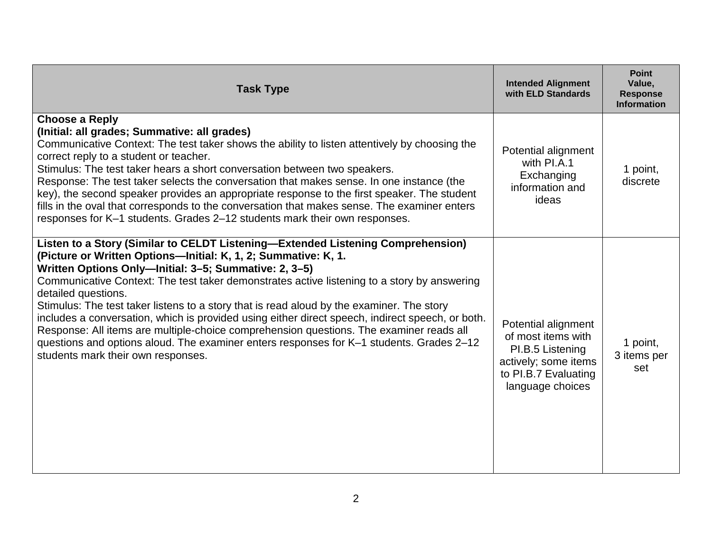| <b>Task Type</b>                                                                                                                                                                                                                                                                                                                                                                                                                                                                                                                                                                                                                                                                                                                                               | <b>Intended Alignment</b><br>with ELD Standards                                                                                   | <b>Point</b><br>Value,<br><b>Response</b><br><b>Information</b> |
|----------------------------------------------------------------------------------------------------------------------------------------------------------------------------------------------------------------------------------------------------------------------------------------------------------------------------------------------------------------------------------------------------------------------------------------------------------------------------------------------------------------------------------------------------------------------------------------------------------------------------------------------------------------------------------------------------------------------------------------------------------------|-----------------------------------------------------------------------------------------------------------------------------------|-----------------------------------------------------------------|
| <b>Choose a Reply</b><br>(Initial: all grades; Summative: all grades)<br>Communicative Context: The test taker shows the ability to listen attentively by choosing the<br>correct reply to a student or teacher.<br>Stimulus: The test taker hears a short conversation between two speakers.<br>Response: The test taker selects the conversation that makes sense. In one instance (the<br>key), the second speaker provides an appropriate response to the first speaker. The student<br>fills in the oval that corresponds to the conversation that makes sense. The examiner enters<br>responses for K-1 students. Grades 2-12 students mark their own responses.                                                                                         | Potential alignment<br>with PI.A.1<br>Exchanging<br>information and<br>ideas                                                      | 1 point,<br>discrete                                            |
| Listen to a Story (Similar to CELDT Listening-Extended Listening Comprehension)<br>(Picture or Written Options-Initial: K, 1, 2; Summative: K, 1.<br>Written Options Only-Initial: 3-5; Summative: 2, 3-5)<br>Communicative Context: The test taker demonstrates active listening to a story by answering<br>detailed questions.<br>Stimulus: The test taker listens to a story that is read aloud by the examiner. The story<br>includes a conversation, which is provided using either direct speech, indirect speech, or both.<br>Response: All items are multiple-choice comprehension questions. The examiner reads all<br>questions and options aloud. The examiner enters responses for K-1 students. Grades 2-12<br>students mark their own responses. | Potential alignment<br>of most items with<br>PI.B.5 Listening<br>actively; some items<br>to PI.B.7 Evaluating<br>language choices | 1 point,<br>3 items per<br>set                                  |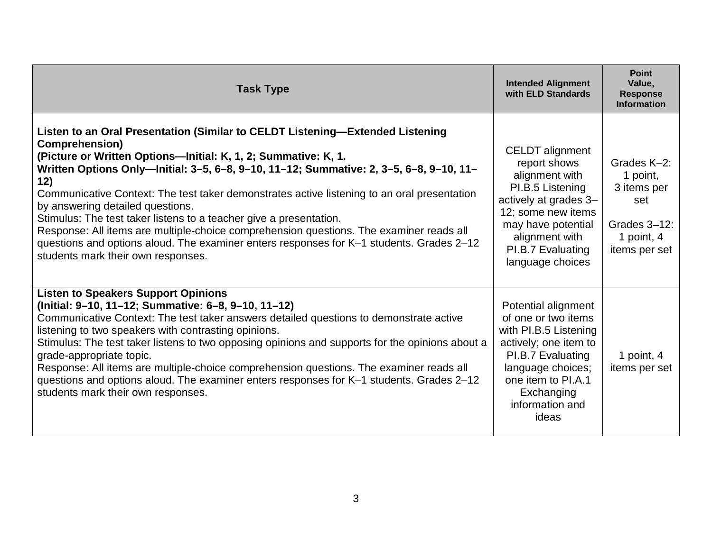| <b>Task Type</b>                                                                                                                                                                                                                                                                                                                                                                                                                                                                                                                                                                                                                                                                                                 | <b>Intended Alignment</b><br>with ELD Standards                                                                                                                                                              | <b>Point</b><br>Value,<br><b>Response</b><br><b>Information</b>                              |
|------------------------------------------------------------------------------------------------------------------------------------------------------------------------------------------------------------------------------------------------------------------------------------------------------------------------------------------------------------------------------------------------------------------------------------------------------------------------------------------------------------------------------------------------------------------------------------------------------------------------------------------------------------------------------------------------------------------|--------------------------------------------------------------------------------------------------------------------------------------------------------------------------------------------------------------|----------------------------------------------------------------------------------------------|
| Listen to an Oral Presentation (Similar to CELDT Listening-Extended Listening<br><b>Comprehension</b> )<br>(Picture or Written Options-Initial: K, 1, 2; Summative: K, 1.<br>Written Options Only-lnitial: 3-5, 6-8, 9-10, 11-12; Summative: 2, 3-5, 6-8, 9-10, 11-<br>12)<br>Communicative Context: The test taker demonstrates active listening to an oral presentation<br>by answering detailed questions.<br>Stimulus: The test taker listens to a teacher give a presentation.<br>Response: All items are multiple-choice comprehension questions. The examiner reads all<br>questions and options aloud. The examiner enters responses for K-1 students. Grades 2-12<br>students mark their own responses. | <b>CELDT</b> alignment<br>report shows<br>alignment with<br>PI.B.5 Listening<br>actively at grades 3-<br>12; some new items<br>may have potential<br>alignment with<br>PI.B.7 Evaluating<br>language choices | Grades K-2:<br>1 point,<br>3 items per<br>set<br>Grades 3-12:<br>1 point, 4<br>items per set |
| <b>Listen to Speakers Support Opinions</b><br>(Initial: 9-10, 11-12; Summative: 6-8, 9-10, 11-12)<br>Communicative Context: The test taker answers detailed questions to demonstrate active<br>listening to two speakers with contrasting opinions.<br>Stimulus: The test taker listens to two opposing opinions and supports for the opinions about a<br>grade-appropriate topic.<br>Response: All items are multiple-choice comprehension questions. The examiner reads all<br>questions and options aloud. The examiner enters responses for K-1 students. Grades 2-12<br>students mark their own responses.                                                                                                  | Potential alignment<br>of one or two items<br>with PI.B.5 Listening<br>actively; one item to<br>PI.B.7 Evaluating<br>language choices;<br>one item to PI.A.1<br>Exchanging<br>information and<br>ideas       | 1 point, 4<br>items per set                                                                  |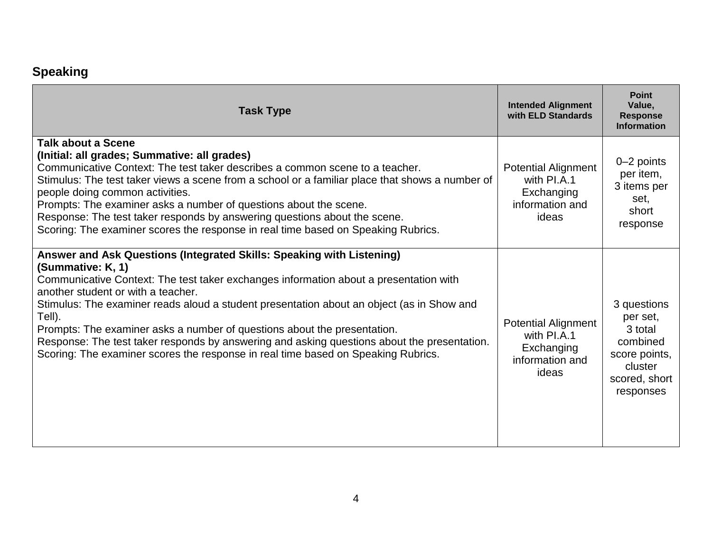## **Speaking**

| <b>Task Type</b>                                                                                                                                                                                                                                                                                                                                                                                                                                                                                                                                                                                 | <b>Intended Alignment</b><br>with ELD Standards                                     | <b>Point</b><br>Value,<br><b>Response</b><br><b>Information</b>                                          |
|--------------------------------------------------------------------------------------------------------------------------------------------------------------------------------------------------------------------------------------------------------------------------------------------------------------------------------------------------------------------------------------------------------------------------------------------------------------------------------------------------------------------------------------------------------------------------------------------------|-------------------------------------------------------------------------------------|----------------------------------------------------------------------------------------------------------|
| <b>Talk about a Scene</b><br>(Initial: all grades; Summative: all grades)<br>Communicative Context: The test taker describes a common scene to a teacher.<br>Stimulus: The test taker views a scene from a school or a familiar place that shows a number of<br>people doing common activities.<br>Prompts: The examiner asks a number of questions about the scene.<br>Response: The test taker responds by answering questions about the scene.<br>Scoring: The examiner scores the response in real time based on Speaking Rubrics.                                                           | <b>Potential Alignment</b><br>with PI.A.1<br>Exchanging<br>information and<br>ideas | $0 - 2$ points<br>per item,<br>3 items per<br>set,<br>short<br>response                                  |
| Answer and Ask Questions (Integrated Skills: Speaking with Listening)<br>(Summative: K, 1)<br>Communicative Context: The test taker exchanges information about a presentation with<br>another student or with a teacher.<br>Stimulus: The examiner reads aloud a student presentation about an object (as in Show and<br>Tell).<br>Prompts: The examiner asks a number of questions about the presentation.<br>Response: The test taker responds by answering and asking questions about the presentation.<br>Scoring: The examiner scores the response in real time based on Speaking Rubrics. | <b>Potential Alignment</b><br>with PI.A.1<br>Exchanging<br>information and<br>ideas | 3 questions<br>per set,<br>3 total<br>combined<br>score points,<br>cluster<br>scored, short<br>responses |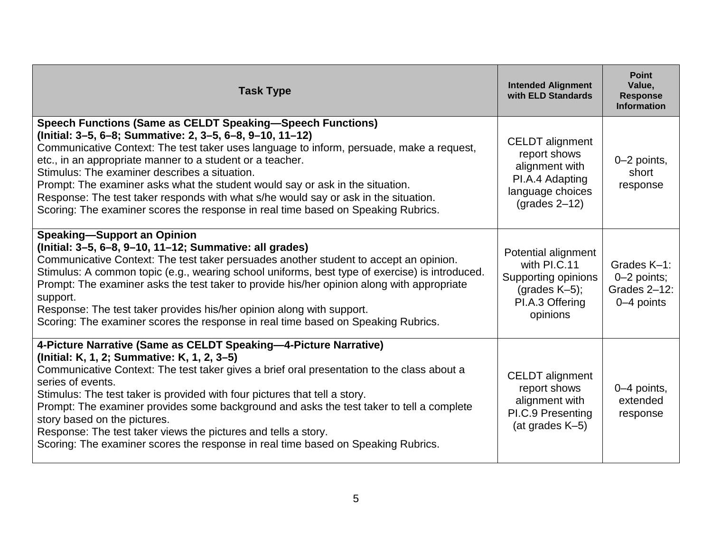| <b>Task Type</b>                                                                                                                                                                                                                                                                                                                                                                                                                                                                                                                                                                                     | <b>Intended Alignment</b><br>with ELD Standards                                                                                           | <b>Point</b><br>Value,<br><b>Response</b><br><b>Information</b> |
|------------------------------------------------------------------------------------------------------------------------------------------------------------------------------------------------------------------------------------------------------------------------------------------------------------------------------------------------------------------------------------------------------------------------------------------------------------------------------------------------------------------------------------------------------------------------------------------------------|-------------------------------------------------------------------------------------------------------------------------------------------|-----------------------------------------------------------------|
| <b>Speech Functions (Same as CELDT Speaking-Speech Functions)</b><br>(Initial: 3–5, 6–8; Summative: 2, 3–5, 6–8, 9–10, 11–12)<br>Communicative Context: The test taker uses language to inform, persuade, make a request,<br>etc., in an appropriate manner to a student or a teacher.<br>Stimulus: The examiner describes a situation.<br>Prompt: The examiner asks what the student would say or ask in the situation.<br>Response: The test taker responds with what s/he would say or ask in the situation.<br>Scoring: The examiner scores the response in real time based on Speaking Rubrics. | <b>CELDT</b> alignment<br>report shows<br>alignment with<br>PI.A.4 Adapting<br>language choices<br>$\left( \text{grades } 2 - 12 \right)$ | 0-2 points,<br>short<br>response                                |
| <b>Speaking-Support an Opinion</b><br>(Initial: 3-5, 6-8, 9-10, 11-12; Summative: all grades)<br>Communicative Context: The test taker persuades another student to accept an opinion.<br>Stimulus: A common topic (e.g., wearing school uniforms, best type of exercise) is introduced.<br>Prompt: The examiner asks the test taker to provide his/her opinion along with appropriate<br>support.<br>Response: The test taker provides his/her opinion along with support.<br>Scoring: The examiner scores the response in real time based on Speaking Rubrics.                                     | Potential alignment<br>with PI.C.11<br>Supporting opinions<br>(grades $K-5$ );<br>PI.A.3 Offering<br>opinions                             | Grades K-1:<br>$0-2$ points;<br>Grades 2-12:<br>0-4 points      |
| 4-Picture Narrative (Same as CELDT Speaking-4-Picture Narrative)<br>(Initial: K, 1, 2; Summative: K, 1, 2, 3-5)<br>Communicative Context: The test taker gives a brief oral presentation to the class about a<br>series of events.<br>Stimulus: The test taker is provided with four pictures that tell a story.<br>Prompt: The examiner provides some background and asks the test taker to tell a complete<br>story based on the pictures.<br>Response: The test taker views the pictures and tells a story.<br>Scoring: The examiner scores the response in real time based on Speaking Rubrics.  | CELDT alignment<br>report shows<br>alignment with<br>PI.C.9 Presenting<br>(at grades K-5)                                                 | 0-4 points,<br>extended<br>response                             |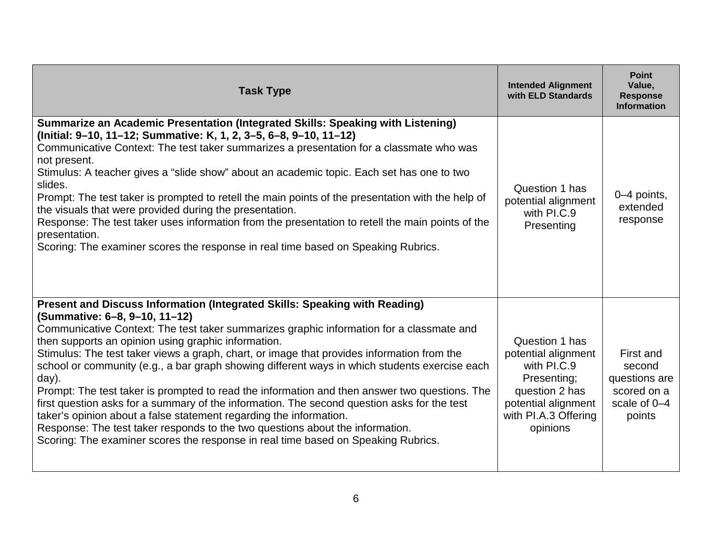| <b>Task Type</b>                                                                                                                                                                                                                                                                                                                                                                                                                                                                                                                                                                                                                                                                                                                                                                                                                                                                                                   | <b>Intended Alignment</b><br>with ELD Standards                                                                                                  | <b>Point</b><br>Value,<br><b>Response</b><br><b>Information</b>               |
|--------------------------------------------------------------------------------------------------------------------------------------------------------------------------------------------------------------------------------------------------------------------------------------------------------------------------------------------------------------------------------------------------------------------------------------------------------------------------------------------------------------------------------------------------------------------------------------------------------------------------------------------------------------------------------------------------------------------------------------------------------------------------------------------------------------------------------------------------------------------------------------------------------------------|--------------------------------------------------------------------------------------------------------------------------------------------------|-------------------------------------------------------------------------------|
| Summarize an Academic Presentation (Integrated Skills: Speaking with Listening)<br>(Initial: 9-10, 11-12; Summative: K, 1, 2, 3-5, 6-8, 9-10, 11-12)<br>Communicative Context: The test taker summarizes a presentation for a classmate who was<br>not present.<br>Stimulus: A teacher gives a "slide show" about an academic topic. Each set has one to two<br>slides.<br>Prompt: The test taker is prompted to retell the main points of the presentation with the help of<br>the visuals that were provided during the presentation.<br>Response: The test taker uses information from the presentation to retell the main points of the<br>presentation.<br>Scoring: The examiner scores the response in real time based on Speaking Rubrics.                                                                                                                                                                  | Question 1 has<br>potential alignment<br>with PI.C.9<br>Presenting                                                                               | 0-4 points,<br>extended<br>response                                           |
| Present and Discuss Information (Integrated Skills: Speaking with Reading)<br>(Summative: 6-8, 9-10, 11-12)<br>Communicative Context: The test taker summarizes graphic information for a classmate and<br>then supports an opinion using graphic information.<br>Stimulus: The test taker views a graph, chart, or image that provides information from the<br>school or community (e.g., a bar graph showing different ways in which students exercise each<br>day).<br>Prompt: The test taker is prompted to read the information and then answer two questions. The<br>first question asks for a summary of the information. The second question asks for the test<br>taker's opinion about a false statement regarding the information.<br>Response: The test taker responds to the two questions about the information.<br>Scoring: The examiner scores the response in real time based on Speaking Rubrics. | Question 1 has<br>potential alignment<br>with PI.C.9<br>Presenting;<br>question 2 has<br>potential alignment<br>with PI.A.3 Offering<br>opinions | First and<br>second<br>questions are<br>scored on a<br>scale of 0-4<br>points |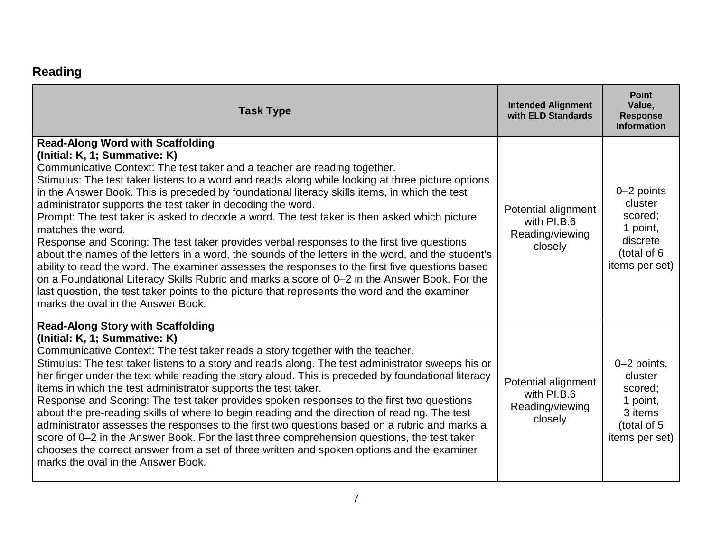## **Reading**

| <b>Task Type</b>                                                                                                                                                                                                                                                                                                                                                                                                                                                                                                                                                                                                                                                                                                                                                                                                                                                                                                                                                                                                                                                                               | <b>Intended Alignment</b><br>with ELD Standards                  | <b>Point</b><br>Value,<br><b>Response</b><br><b>Information</b>                           |
|------------------------------------------------------------------------------------------------------------------------------------------------------------------------------------------------------------------------------------------------------------------------------------------------------------------------------------------------------------------------------------------------------------------------------------------------------------------------------------------------------------------------------------------------------------------------------------------------------------------------------------------------------------------------------------------------------------------------------------------------------------------------------------------------------------------------------------------------------------------------------------------------------------------------------------------------------------------------------------------------------------------------------------------------------------------------------------------------|------------------------------------------------------------------|-------------------------------------------------------------------------------------------|
| <b>Read-Along Word with Scaffolding</b><br>(Initial: K, 1; Summative: K)<br>Communicative Context: The test taker and a teacher are reading together.<br>Stimulus: The test taker listens to a word and reads along while looking at three picture options<br>in the Answer Book. This is preceded by foundational literacy skills items, in which the test<br>administrator supports the test taker in decoding the word.<br>Prompt: The test taker is asked to decode a word. The test taker is then asked which picture<br>matches the word.<br>Response and Scoring: The test taker provides verbal responses to the first five questions<br>about the names of the letters in a word, the sounds of the letters in the word, and the student's<br>ability to read the word. The examiner assesses the responses to the first five questions based<br>on a Foundational Literacy Skills Rubric and marks a score of 0-2 in the Answer Book. For the<br>last question, the test taker points to the picture that represents the word and the examiner<br>marks the oval in the Answer Book. | Potential alignment<br>with PI.B.6<br>Reading/viewing<br>closely | 0-2 points<br>cluster<br>scored:<br>1 point,<br>discrete<br>(total of 6<br>items per set) |
| <b>Read-Along Story with Scaffolding</b><br>(Initial: K, 1; Summative: K)<br>Communicative Context: The test taker reads a story together with the teacher.<br>Stimulus: The test taker listens to a story and reads along. The test administrator sweeps his or<br>her finger under the text while reading the story aloud. This is preceded by foundational literacy<br>items in which the test administrator supports the test taker.<br>Response and Scoring: The test taker provides spoken responses to the first two questions<br>about the pre-reading skills of where to begin reading and the direction of reading. The test<br>administrator assesses the responses to the first two questions based on a rubric and marks a<br>score of 0–2 in the Answer Book. For the last three comprehension questions, the test taker<br>chooses the correct answer from a set of three written and spoken options and the examiner<br>marks the oval in the Answer Book.                                                                                                                     | Potential alignment<br>with PI.B.6<br>Reading/viewing<br>closely | 0-2 points,<br>cluster<br>scored;<br>1 point,<br>3 items<br>(total of 5<br>items per set) |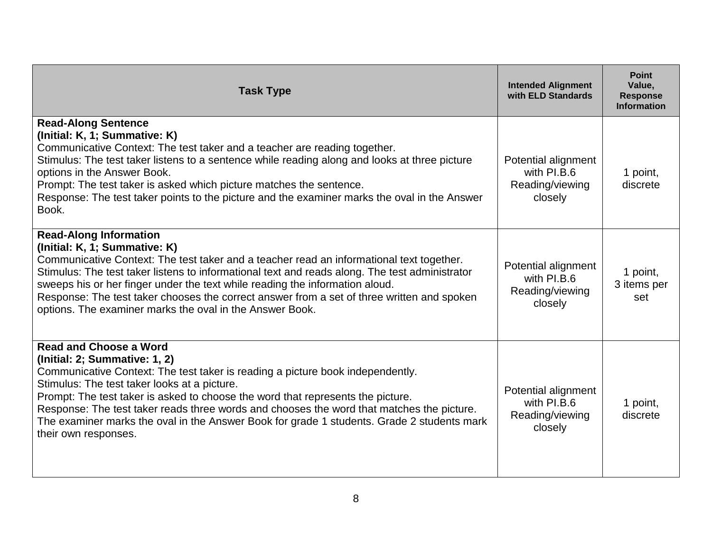| <b>Task Type</b>                                                                                                                                                                                                                                                                                                                                                                                                                                                                                       | <b>Intended Alignment</b><br>with ELD Standards                  | <b>Point</b><br>Value,<br><b>Response</b><br><b>Information</b> |
|--------------------------------------------------------------------------------------------------------------------------------------------------------------------------------------------------------------------------------------------------------------------------------------------------------------------------------------------------------------------------------------------------------------------------------------------------------------------------------------------------------|------------------------------------------------------------------|-----------------------------------------------------------------|
| <b>Read-Along Sentence</b><br>(Initial: K, 1; Summative: K)<br>Communicative Context: The test taker and a teacher are reading together.<br>Stimulus: The test taker listens to a sentence while reading along and looks at three picture<br>options in the Answer Book.<br>Prompt: The test taker is asked which picture matches the sentence.<br>Response: The test taker points to the picture and the examiner marks the oval in the Answer<br>Book.                                               | Potential alignment<br>with PI.B.6<br>Reading/viewing<br>closely | 1 point,<br>discrete                                            |
| <b>Read-Along Information</b><br>(Initial: K, 1; Summative: K)<br>Communicative Context: The test taker and a teacher read an informational text together.<br>Stimulus: The test taker listens to informational text and reads along. The test administrator<br>sweeps his or her finger under the text while reading the information aloud.<br>Response: The test taker chooses the correct answer from a set of three written and spoken<br>options. The examiner marks the oval in the Answer Book. | Potential alignment<br>with PI.B.6<br>Reading/viewing<br>closely | 1 point,<br>3 items per<br>set                                  |
| <b>Read and Choose a Word</b><br>(Initial: 2; Summative: 1, 2)<br>Communicative Context: The test taker is reading a picture book independently.<br>Stimulus: The test taker looks at a picture.<br>Prompt: The test taker is asked to choose the word that represents the picture.<br>Response: The test taker reads three words and chooses the word that matches the picture.<br>The examiner marks the oval in the Answer Book for grade 1 students. Grade 2 students mark<br>their own responses. | Potential alignment<br>with PI.B.6<br>Reading/viewing<br>closely | 1 point,<br>discrete                                            |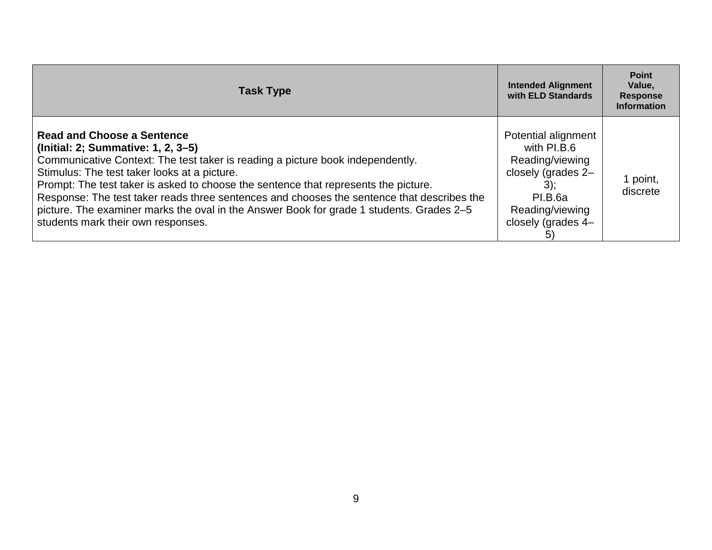| <b>Task Type</b>                                                                                                                                                                                                                                                                                                                                                                                                                                                                                                                 | <b>Intended Alignment</b><br>with ELD Standards                                                                                                 | <b>Point</b><br>Value,<br><b>Response</b><br><b>Information</b> |
|----------------------------------------------------------------------------------------------------------------------------------------------------------------------------------------------------------------------------------------------------------------------------------------------------------------------------------------------------------------------------------------------------------------------------------------------------------------------------------------------------------------------------------|-------------------------------------------------------------------------------------------------------------------------------------------------|-----------------------------------------------------------------|
| <b>Read and Choose a Sentence</b><br>(Initial: 2; Summative: 1, 2, 3–5)<br>Communicative Context: The test taker is reading a picture book independently.<br>Stimulus: The test taker looks at a picture.<br>Prompt: The test taker is asked to choose the sentence that represents the picture.<br>Response: The test taker reads three sentences and chooses the sentence that describes the<br>picture. The examiner marks the oval in the Answer Book for grade 1 students. Grades 2–5<br>students mark their own responses. | Potential alignment<br>with PI.B.6<br>Reading/viewing<br>closely (grades 2-<br>$3)$ ;<br>PI.B.6a<br>Reading/viewing<br>closely (grades 4-<br>5) | l point,<br>discrete                                            |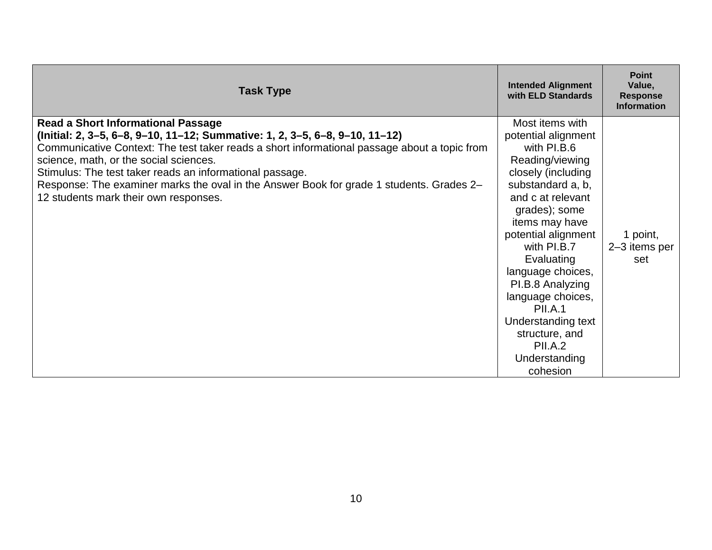| <b>Task Type</b>                                                                                                                                                                                                                                                                                                                                                                                                                                                    | <b>Intended Alignment</b><br>with ELD Standards                                                                                                                                                                                                                                                                                                                                                        | <b>Point</b><br>Value,<br><b>Response</b><br><b>Information</b> |
|---------------------------------------------------------------------------------------------------------------------------------------------------------------------------------------------------------------------------------------------------------------------------------------------------------------------------------------------------------------------------------------------------------------------------------------------------------------------|--------------------------------------------------------------------------------------------------------------------------------------------------------------------------------------------------------------------------------------------------------------------------------------------------------------------------------------------------------------------------------------------------------|-----------------------------------------------------------------|
| <b>Read a Short Informational Passage</b><br>(Initial: 2, 3–5, 6–8, 9–10, 11–12; Summative: 1, 2, 3–5, 6–8, 9–10, 11–12)<br>Communicative Context: The test taker reads a short informational passage about a topic from<br>science, math, or the social sciences.<br>Stimulus: The test taker reads an informational passage.<br>Response: The examiner marks the oval in the Answer Book for grade 1 students. Grades 2-<br>12 students mark their own responses. | Most items with<br>potential alignment<br>with PI.B.6<br>Reading/viewing<br>closely (including<br>substandard a, b,<br>and c at relevant<br>grades); some<br>items may have<br>potential alignment<br>with PI.B.7<br>Evaluating<br>language choices,<br>PI.B.8 Analyzing<br>language choices,<br><b>PII.A.1</b><br>Understanding text<br>structure, and<br><b>PII.A.2</b><br>Understanding<br>cohesion | 1 point,<br>2-3 items per<br>set                                |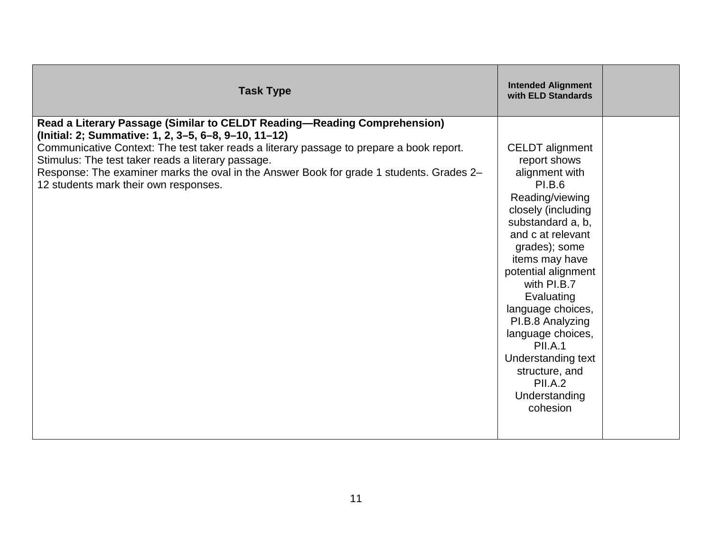| <b>Task Type</b>                                                                                                                                                                                                                                                                                                                                                                                                        | <b>Intended Alignment</b><br>with ELD Standards                                                                                                                                                                                                                                                                                                                                                                            |  |
|-------------------------------------------------------------------------------------------------------------------------------------------------------------------------------------------------------------------------------------------------------------------------------------------------------------------------------------------------------------------------------------------------------------------------|----------------------------------------------------------------------------------------------------------------------------------------------------------------------------------------------------------------------------------------------------------------------------------------------------------------------------------------------------------------------------------------------------------------------------|--|
| Read a Literary Passage (Similar to CELDT Reading-Reading Comprehension)<br>(Initial: 2; Summative: 1, 2, 3–5, 6–8, 9–10, 11–12)<br>Communicative Context: The test taker reads a literary passage to prepare a book report.<br>Stimulus: The test taker reads a literary passage.<br>Response: The examiner marks the oval in the Answer Book for grade 1 students. Grades 2-<br>12 students mark their own responses. | <b>CELDT</b> alignment<br>report shows<br>alignment with<br><b>PI.B.6</b><br>Reading/viewing<br>closely (including<br>substandard a, b,<br>and c at relevant<br>grades); some<br>items may have<br>potential alignment<br>with PI.B.7<br>Evaluating<br>language choices,<br>PI.B.8 Analyzing<br>language choices,<br><b>PII.A.1</b><br>Understanding text<br>structure, and<br><b>PII.A.2</b><br>Understanding<br>cohesion |  |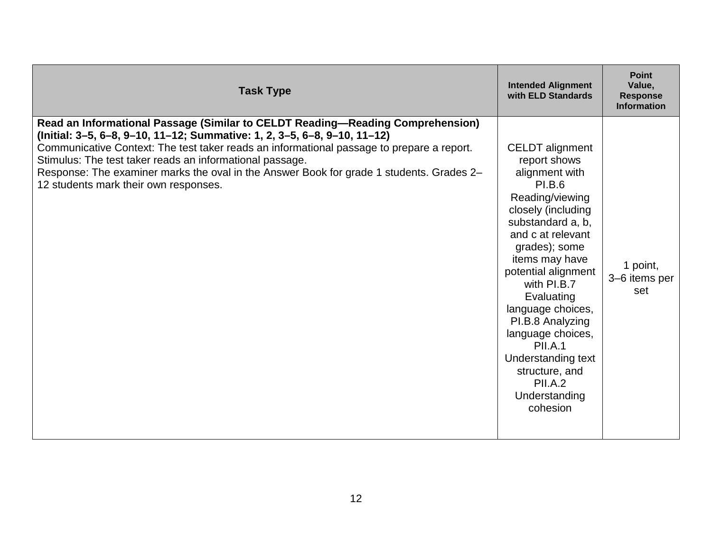| <b>Task Type</b>                                                                                                                                                                                                                                                                                                                                                                                                                                         | <b>Intended Alignment</b><br>with ELD Standards                                                                                                                                                                                                                                                                                                                                                                            | <b>Point</b><br>Value,<br><b>Response</b><br><b>Information</b> |
|----------------------------------------------------------------------------------------------------------------------------------------------------------------------------------------------------------------------------------------------------------------------------------------------------------------------------------------------------------------------------------------------------------------------------------------------------------|----------------------------------------------------------------------------------------------------------------------------------------------------------------------------------------------------------------------------------------------------------------------------------------------------------------------------------------------------------------------------------------------------------------------------|-----------------------------------------------------------------|
| Read an Informational Passage (Similar to CELDT Reading-Reading Comprehension)<br>(Initial: 3-5, 6-8, 9-10, 11-12; Summative: 1, 2, 3-5, 6-8, 9-10, 11-12)<br>Communicative Context: The test taker reads an informational passage to prepare a report.<br>Stimulus: The test taker reads an informational passage.<br>Response: The examiner marks the oval in the Answer Book for grade 1 students. Grades 2-<br>12 students mark their own responses. | <b>CELDT</b> alignment<br>report shows<br>alignment with<br><b>PI.B.6</b><br>Reading/viewing<br>closely (including<br>substandard a, b,<br>and c at relevant<br>grades); some<br>items may have<br>potential alignment<br>with PI.B.7<br>Evaluating<br>language choices,<br>PI.B.8 Analyzing<br>language choices,<br><b>PII.A.1</b><br>Understanding text<br>structure, and<br><b>PII.A.2</b><br>Understanding<br>cohesion | 1 point,<br>3-6 items per<br>set                                |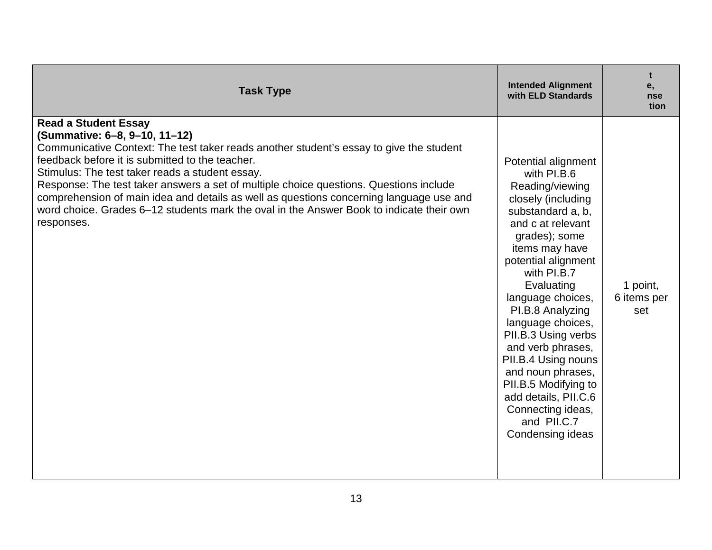| <b>Task Type</b>                                                                                                                                                                                                                                                                                                                                                                                                                                                                                                                                             | <b>Intended Alignment</b><br>with ELD Standards                                                                                                                                                                                                                                                                                                                                                                                                                            | t<br>е,<br>nse<br>tion         |
|--------------------------------------------------------------------------------------------------------------------------------------------------------------------------------------------------------------------------------------------------------------------------------------------------------------------------------------------------------------------------------------------------------------------------------------------------------------------------------------------------------------------------------------------------------------|----------------------------------------------------------------------------------------------------------------------------------------------------------------------------------------------------------------------------------------------------------------------------------------------------------------------------------------------------------------------------------------------------------------------------------------------------------------------------|--------------------------------|
| <b>Read a Student Essay</b><br>(Summative: 6-8, 9-10, 11-12)<br>Communicative Context: The test taker reads another student's essay to give the student<br>feedback before it is submitted to the teacher.<br>Stimulus: The test taker reads a student essay.<br>Response: The test taker answers a set of multiple choice questions. Questions include<br>comprehension of main idea and details as well as questions concerning language use and<br>word choice. Grades 6–12 students mark the oval in the Answer Book to indicate their own<br>responses. | Potential alignment<br>with PI.B.6<br>Reading/viewing<br>closely (including<br>substandard a, b,<br>and c at relevant<br>grades); some<br>items may have<br>potential alignment<br>with PI.B.7<br>Evaluating<br>language choices,<br>PI.B.8 Analyzing<br>language choices,<br>PII.B.3 Using verbs<br>and verb phrases,<br>PII.B.4 Using nouns<br>and noun phrases,<br>PII.B.5 Modifying to<br>add details, PII.C.6<br>Connecting ideas,<br>and PII.C.7<br>Condensing ideas | 1 point,<br>6 items per<br>set |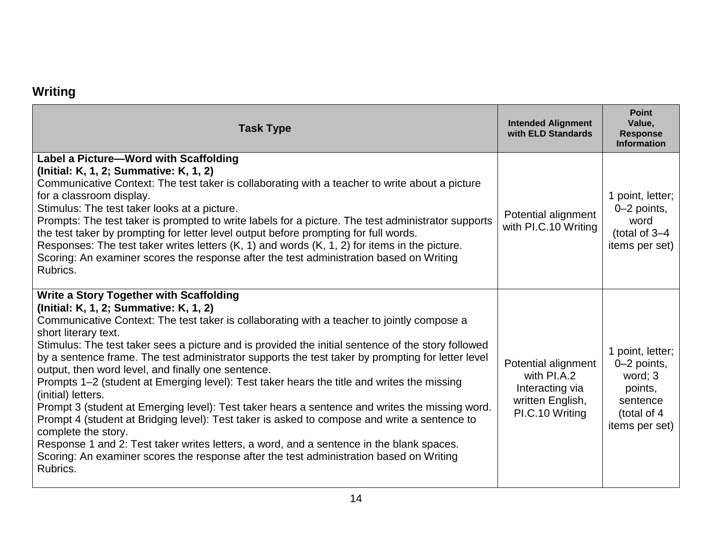#### **Writing**

| <b>Task Type</b>                                                                                                                                                                                                                                                                                                                                                                                                                                                                                                                                                                                                                                                                                                                                                                                                                                                                                                                                                                                                                | <b>Intended Alignment</b><br>with ELD Standards                                              | <b>Point</b><br>Value,<br><b>Response</b><br><b>Information</b>                                    |
|---------------------------------------------------------------------------------------------------------------------------------------------------------------------------------------------------------------------------------------------------------------------------------------------------------------------------------------------------------------------------------------------------------------------------------------------------------------------------------------------------------------------------------------------------------------------------------------------------------------------------------------------------------------------------------------------------------------------------------------------------------------------------------------------------------------------------------------------------------------------------------------------------------------------------------------------------------------------------------------------------------------------------------|----------------------------------------------------------------------------------------------|----------------------------------------------------------------------------------------------------|
| Label a Picture-Word with Scaffolding<br>(Initial: K, 1, 2; Summative: K, 1, 2)<br>Communicative Context: The test taker is collaborating with a teacher to write about a picture<br>for a classroom display.<br>Stimulus: The test taker looks at a picture.<br>Prompts: The test taker is prompted to write labels for a picture. The test administrator supports<br>the test taker by prompting for letter level output before prompting for full words.<br>Responses: The test taker writes letters (K, 1) and words (K, 1, 2) for items in the picture.<br>Scoring: An examiner scores the response after the test administration based on Writing<br>Rubrics.                                                                                                                                                                                                                                                                                                                                                             | Potential alignment<br>with PI.C.10 Writing                                                  | 1 point, letter;<br>$0-2$ points,<br>word<br>(total of $3-4$<br>items per set)                     |
| <b>Write a Story Together with Scaffolding</b><br>(Initial: K, 1, 2; Summative: K, 1, 2)<br>Communicative Context: The test taker is collaborating with a teacher to jointly compose a<br>short literary text.<br>Stimulus: The test taker sees a picture and is provided the initial sentence of the story followed<br>by a sentence frame. The test administrator supports the test taker by prompting for letter level<br>output, then word level, and finally one sentence.<br>Prompts 1–2 (student at Emerging level): Test taker hears the title and writes the missing<br>(initial) letters.<br>Prompt 3 (student at Emerging level): Test taker hears a sentence and writes the missing word.<br>Prompt 4 (student at Bridging level): Test taker is asked to compose and write a sentence to<br>complete the story.<br>Response 1 and 2: Test taker writes letters, a word, and a sentence in the blank spaces.<br>Scoring: An examiner scores the response after the test administration based on Writing<br>Rubrics. | Potential alignment<br>with PI.A.2<br>Interacting via<br>written English,<br>PI.C.10 Writing | 1 point, letter;<br>0-2 points,<br>word; 3<br>points,<br>sentence<br>(total of 4<br>items per set) |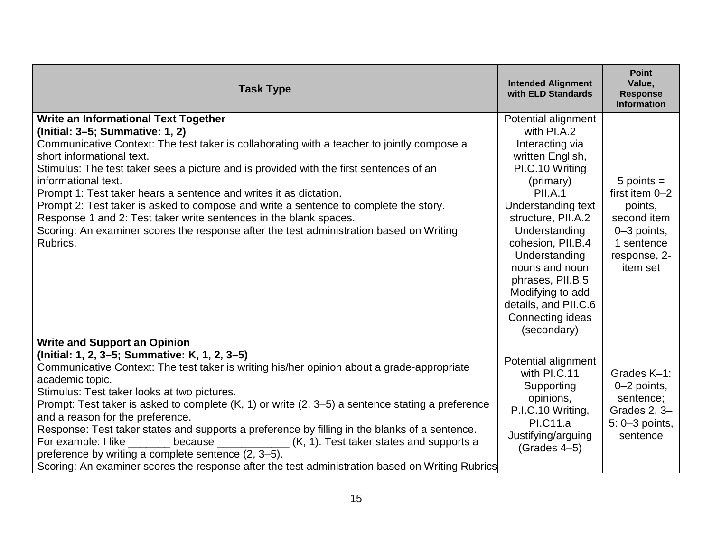| <b>Task Type</b>                                                                                                                                                                                                                                                                                                                                                                                                                                                                                                                                                                                                                                                                                                                                 | <b>Intended Alignment</b><br>with ELD Standards                                                                                                                                                                                                                                                                                                     | <b>Point</b><br>Value,<br><b>Response</b><br><b>Information</b>                                                     |
|--------------------------------------------------------------------------------------------------------------------------------------------------------------------------------------------------------------------------------------------------------------------------------------------------------------------------------------------------------------------------------------------------------------------------------------------------------------------------------------------------------------------------------------------------------------------------------------------------------------------------------------------------------------------------------------------------------------------------------------------------|-----------------------------------------------------------------------------------------------------------------------------------------------------------------------------------------------------------------------------------------------------------------------------------------------------------------------------------------------------|---------------------------------------------------------------------------------------------------------------------|
| Write an Informational Text Together<br>(Initial: 3-5; Summative: 1, 2)<br>Communicative Context: The test taker is collaborating with a teacher to jointly compose a<br>short informational text.<br>Stimulus: The test taker sees a picture and is provided with the first sentences of an<br>informational text.<br>Prompt 1: Test taker hears a sentence and writes it as dictation.<br>Prompt 2: Test taker is asked to compose and write a sentence to complete the story.<br>Response 1 and 2: Test taker write sentences in the blank spaces.<br>Scoring: An examiner scores the response after the test administration based on Writing<br>Rubrics.                                                                                     | Potential alignment<br>with PI.A.2<br>Interacting via<br>written English,<br>PI.C.10 Writing<br>(primary)<br><b>PII.A.1</b><br>Understanding text<br>structure, PII.A.2<br>Understanding<br>cohesion, PII.B.4<br>Understanding<br>nouns and noun<br>phrases, PII.B.5<br>Modifying to add<br>details, and PII.C.6<br>Connecting ideas<br>(secondary) | $5$ points =<br>first item $0-2$<br>points,<br>second item<br>0-3 points,<br>1 sentence<br>response, 2-<br>item set |
| <b>Write and Support an Opinion</b><br>(Initial: 1, 2, 3–5; Summative: K, 1, 2, 3–5)<br>Communicative Context: The test taker is writing his/her opinion about a grade-appropriate<br>academic topic.<br>Stimulus: Test taker looks at two pictures.<br>Prompt: Test taker is asked to complete (K, 1) or write (2, 3–5) a sentence stating a preference<br>and a reason for the preference.<br>Response: Test taker states and supports a preference by filling in the blanks of a sentence.<br>because $\frac{1}{1}$ (K, 1). Test taker states and supports a<br>For example: I like<br>preference by writing a complete sentence (2, 3-5).<br>Scoring: An examiner scores the response after the test administration based on Writing Rubrics | Potential alignment<br>with PI.C.11<br>Supporting<br>opinions,<br>P.I.C.10 Writing,<br>PI.C11.a<br>Justifying/arguing<br>$(Grades 4-5)$                                                                                                                                                                                                             | Grades K-1:<br>$0-2$ points,<br>sentence;<br>Grades 2, 3-<br>5: 0-3 points,<br>sentence                             |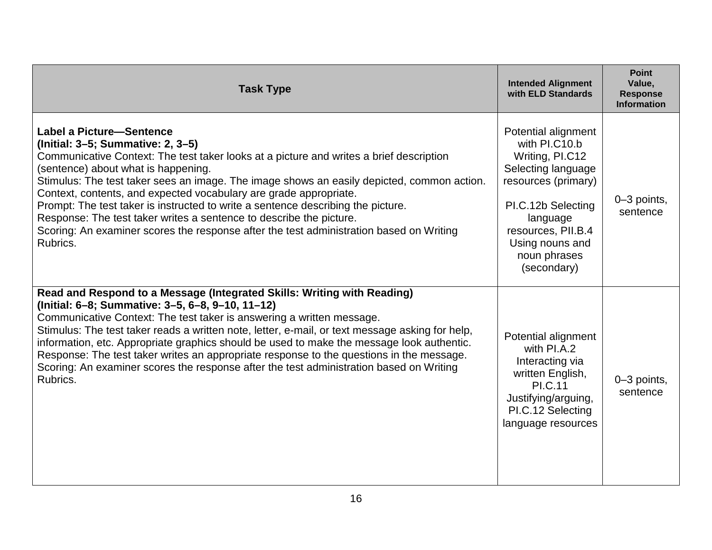| <b>Task Type</b>                                                                                                                                                                                                                                                                                                                                                                                                                                                                                                                                                                                                                            | <b>Intended Alignment</b><br>with ELD Standards                                                                                                                                                                | <b>Point</b><br>Value,<br><b>Response</b><br><b>Information</b> |
|---------------------------------------------------------------------------------------------------------------------------------------------------------------------------------------------------------------------------------------------------------------------------------------------------------------------------------------------------------------------------------------------------------------------------------------------------------------------------------------------------------------------------------------------------------------------------------------------------------------------------------------------|----------------------------------------------------------------------------------------------------------------------------------------------------------------------------------------------------------------|-----------------------------------------------------------------|
| <b>Label a Picture-Sentence</b><br>(Initial: 3-5; Summative: 2, 3-5)<br>Communicative Context: The test taker looks at a picture and writes a brief description<br>(sentence) about what is happening.<br>Stimulus: The test taker sees an image. The image shows an easily depicted, common action.<br>Context, contents, and expected vocabulary are grade appropriate.<br>Prompt: The test taker is instructed to write a sentence describing the picture.<br>Response: The test taker writes a sentence to describe the picture.<br>Scoring: An examiner scores the response after the test administration based on Writing<br>Rubrics. | Potential alignment<br>with PI.C10.b<br>Writing, PI.C12<br>Selecting language<br>resources (primary)<br>PI.C.12b Selecting<br>language<br>resources, PII.B.4<br>Using nouns and<br>noun phrases<br>(secondary) | $0-3$ points,<br>sentence                                       |
| Read and Respond to a Message (Integrated Skills: Writing with Reading)<br>(Initial: 6-8; Summative: 3-5, 6-8, 9-10, 11-12)<br>Communicative Context: The test taker is answering a written message.<br>Stimulus: The test taker reads a written note, letter, e-mail, or text message asking for help,<br>information, etc. Appropriate graphics should be used to make the message look authentic.<br>Response: The test taker writes an appropriate response to the questions in the message.<br>Scoring: An examiner scores the response after the test administration based on Writing<br>Rubrics.                                     | Potential alignment<br>with PI.A.2<br>Interacting via<br>written English,<br><b>PI.C.11</b><br>Justifying/arguing,<br>PI.C.12 Selecting<br>language resources                                                  | 0-3 points,<br>sentence                                         |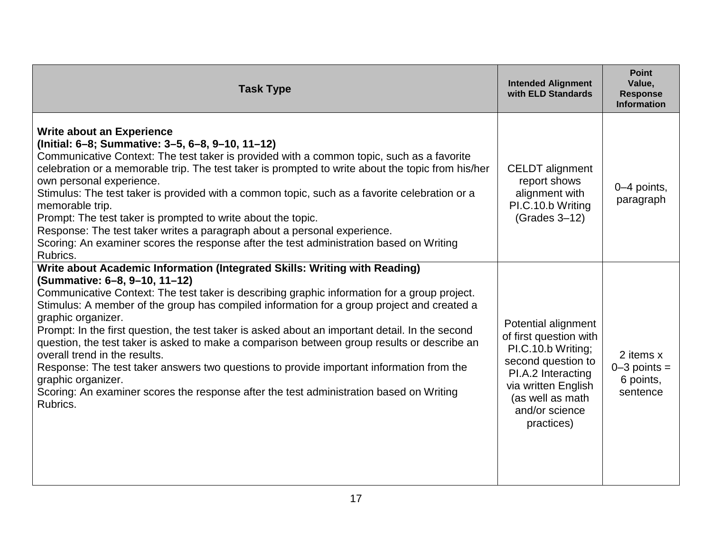| <b>Task Type</b>                                                                                                                                                                                                                                                                                                                                                                                                                                                                                                                                                                                                                                                                                                                                                                            | <b>Intended Alignment</b><br>with ELD Standards                                                                                                                                            | <b>Point</b><br>Value,<br><b>Response</b><br><b>Information</b> |
|---------------------------------------------------------------------------------------------------------------------------------------------------------------------------------------------------------------------------------------------------------------------------------------------------------------------------------------------------------------------------------------------------------------------------------------------------------------------------------------------------------------------------------------------------------------------------------------------------------------------------------------------------------------------------------------------------------------------------------------------------------------------------------------------|--------------------------------------------------------------------------------------------------------------------------------------------------------------------------------------------|-----------------------------------------------------------------|
| <b>Write about an Experience</b><br>(Initial: 6-8; Summative: 3-5, 6-8, 9-10, 11-12)<br>Communicative Context: The test taker is provided with a common topic, such as a favorite<br>celebration or a memorable trip. The test taker is prompted to write about the topic from his/her<br>own personal experience.<br>Stimulus: The test taker is provided with a common topic, such as a favorite celebration or a<br>memorable trip.<br>Prompt: The test taker is prompted to write about the topic.<br>Response: The test taker writes a paragraph about a personal experience.<br>Scoring: An examiner scores the response after the test administration based on Writing<br>Rubrics.                                                                                                   | <b>CELDT</b> alignment<br>report shows<br>alignment with<br>PI.C.10.b Writing<br>(Grades 3-12)                                                                                             | 0-4 points,<br>paragraph                                        |
| Write about Academic Information (Integrated Skills: Writing with Reading)<br>(Summative: 6-8, 9-10, 11-12)<br>Communicative Context: The test taker is describing graphic information for a group project.<br>Stimulus: A member of the group has compiled information for a group project and created a<br>graphic organizer.<br>Prompt: In the first question, the test taker is asked about an important detail. In the second<br>question, the test taker is asked to make a comparison between group results or describe an<br>overall trend in the results.<br>Response: The test taker answers two questions to provide important information from the<br>graphic organizer.<br>Scoring: An examiner scores the response after the test administration based on Writing<br>Rubrics. | Potential alignment<br>of first question with<br>PI.C.10.b Writing;<br>second question to<br>PI.A.2 Interacting<br>via written English<br>(as well as math<br>and/or science<br>practices) | 2 items x<br>$0-3$ points =<br>6 points,<br>sentence            |